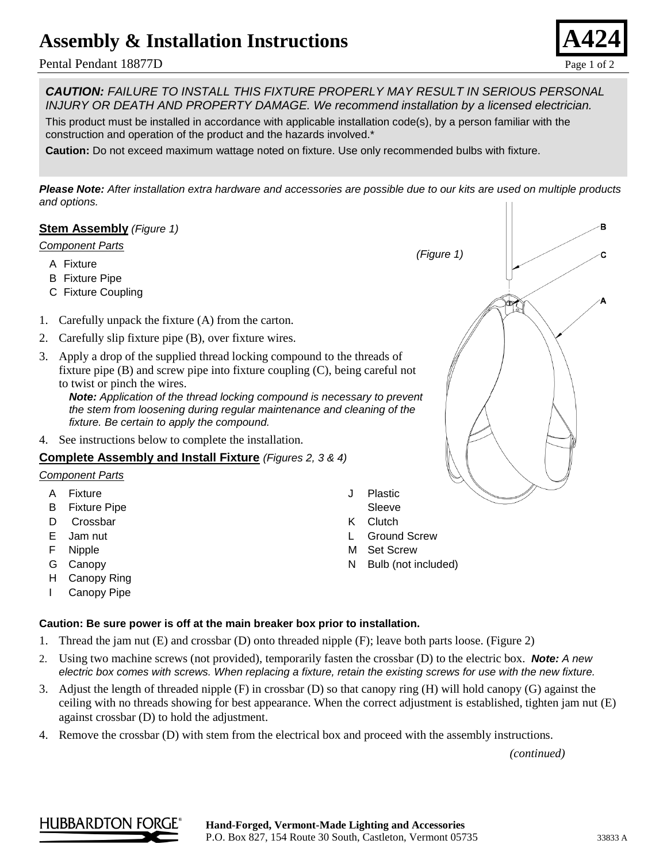# **Assembly & Installation Instructions**

### Pental Pendant 18877D Page 1 of 2



*CAUTION: FAILURE TO INSTALL THIS FIXTURE PROPERLY MAY RESULT IN SERIOUS PERSONAL INJURY OR DEATH AND PROPERTY DAMAGE. We recommend installation by a licensed electrician.*

This product must be installed in accordance with applicable installation code(s), by a person familiar with the construction and operation of the product and the hazards involved.\*

**Caution:** Do not exceed maximum wattage noted on fixture. Use only recommended bulbs with fixture.

*Please Note: After installation extra hardware and accessories are possible due to our kits are used on multiple products and options.*

### **Stem Assembly** *(Figure 1)*

#### *Component Parts*

- A Fixture
- B Fixture Pipe
- C Fixture Coupling
- 1. Carefully unpack the fixture (A) from the carton.
- 2. Carefully slip fixture pipe (B), over fixture wires.
- 3. Apply a drop of the supplied thread locking compound to the threads of fixture pipe (B) and screw pipe into fixture coupling (C), being careful not to twist or pinch the wires.

*Note: Application of the thread locking compound is necessary to prevent the stem from loosening during regular maintenance and cleaning of the fixture. Be certain to apply the compound.*

4. See instructions below to complete the installation.

#### **Complete Assembly and Install Fixture** *(Figures 2, 3 & 4)*

#### *Component Parts*

- A Fixture
- B Fixture Pipe
- D Crossbar
- E Jam nut
- F Nipple
- G Canopy
- H Canopy Ring
- I Canopy Pipe

#### **Caution: Be sure power is off at the main breaker box prior to installation.**

- 1. Thread the jam nut (E) and crossbar (D) onto threaded nipple (F); leave both parts loose. (Figure 2)
- 2. Using two machine screws (not provided), temporarily fasten the crossbar (D) to the electric box. *Note: A new electric box comes with screws. When replacing a fixture, retain the existing screws for use with the new fixture.*
- 3. Adjust the length of threaded nipple (F) in crossbar (D) so that canopy ring (H) will hold canopy (G) against the ceiling with no threads showing for best appearance. When the correct adjustment is established, tighten jam nut (E) against crossbar (D) to hold the adjustment.

J Plastic Sleeve K Clutch

L Ground Screw M Set Screw

N Bulb (not included)

4. Remove the crossbar (D) with stem from the electrical box and proceed with the assembly instructions.

*(continued)*